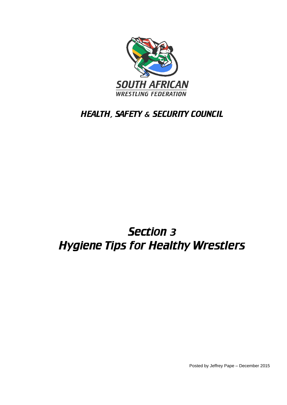

# HEALTH, SAFETY & SECURITY COUNCIL

# Section 3 Hygiene Tips for Healthy Wrestlers

Posted by Jeffrey Pape – December 2015